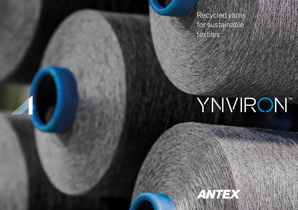Recycled yarns for sustainable textiles

by

**Contractions** 

filit

# **YNVIRON**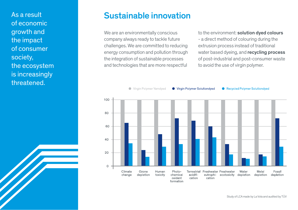As a result of economic growth and the impact of consumer society, the ecosystem is increasingly threatened.

### Sustainable innovation

We are an environmentally conscious company always ready to tackle future challenges. We are committed to reducing energy consumption and pollution through the integration of sustainable processes and technologies that are more respectful

to the environment: solution dyed colours

- a direct method of colouring during the extrusion process instead of traditional water based dyeing, and **recycling process** of post-industrial and post-consumer waste to avoid the use of virgin polymer.

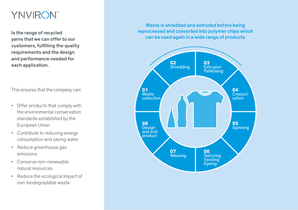# **YNVIRON**

Is the range of recycled yarns that we can offer to our customers, fulfilling the quality requirements and the design and performance needed for each application.

This ensures that the company can:

- Offer products that comply with the environmental conservation standards established by the European Union
- Contribute to reducing energy consumption and saving water
- Reduce greenhouse gas emissions
- Conserve non-renewable natural resources
- Reduce the ecological impact of non-biodegradable waste

Waste is shredded and extruded before being reprocessed and converted into polymer chips which can be used again in a wide range of products